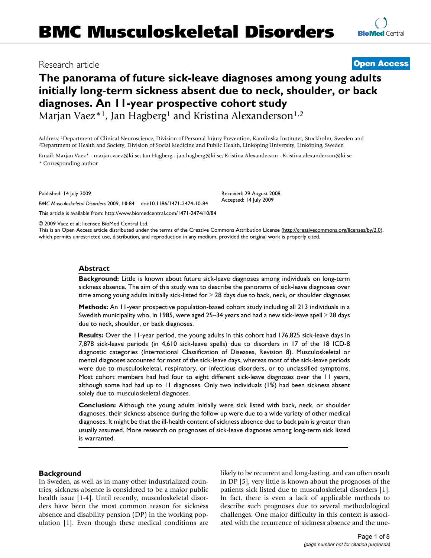# **The panorama of future sick-leave diagnoses among young adults initially long-term sickness absent due to neck, shoulder, or back diagnoses. An 11-year prospective cohort study**

Marjan Vaez<sup>\*1</sup>, Jan Hagberg<sup>1</sup> and Kristina Alexanderson<sup>1,2</sup>

Address: <sup>1</sup>Department of Clinical Neuroscience, Division of Personal Injury Prevention, Karolinska Institutet, Stockholm, Sweden and <sup>2</sup>Department of Health and Society, Division of Social Medicine and Public Health, Link

Email: Marjan Vaez\* - marjan.vaez@ki.se; Jan Hagberg - jan.hagberg@ki.se; Kristina Alexanderson - Kristina.alexanderson@ki.se \* Corresponding author

Published: 14 July 2009

*BMC Musculoskeletal Disorders* 2009, **10**:84 doi:10.1186/1471-2474-10-84

[This article is available from: http://www.biomedcentral.com/1471-2474/10/84](http://www.biomedcentral.com/1471-2474/10/84)

© 2009 Vaez et al; licensee BioMed Central Ltd.

This is an Open Access article distributed under the terms of the Creative Commons Attribution License [\(http://creativecommons.org/licenses/by/2.0\)](http://creativecommons.org/licenses/by/2.0), which permits unrestricted use, distribution, and reproduction in any medium, provided the original work is properly cited.

### **Abstract**

**Background:** Little is known about future sick-leave diagnoses among individuals on long-term sickness absence. The aim of this study was to describe the panorama of sick-leave diagnoses over time among young adults initially sick-listed for  $\geq$  28 days due to back, neck, or shoulder diagnoses

**Methods:** An 11-year prospective population-based cohort study including all 213 individuals in a Swedish municipality who, in 1985, were aged 25–34 years and had a new sick-leave spell  $\geq$  28 days due to neck, shoulder, or back diagnoses.

**Results:** Over the 11-year period, the young adults in this cohort had 176,825 sick-leave days in 7,878 sick-leave periods (in 4,610 sick-leave spells) due to disorders in 17 of the 18 ICD-8 diagnostic categories (International Classification of Diseases, Revision 8). Musculoskeletal or mental diagnoses accounted for most of the sick-leave days, whereas most of the sick-leave periods were due to musculoskeletal, respiratory, or infectious disorders, or to unclassified symptoms. Most cohort members had had four to eight different sick-leave diagnoses over the 11 years, although some had had up to 11 diagnoses. Only two individuals (1%) had been sickness absent solely due to musculoskeletal diagnoses.

**Conclusion:** Although the young adults initially were sick listed with back, neck, or shoulder diagnoses, their sickness absence during the follow up were due to a wide variety of other medical diagnoses. It might be that the ill-health content of sickness absence due to back pain is greater than usually assumed. More research on prognoses of sick-leave diagnoses among long-term sick listed is warranted.

# **Background**

In Sweden, as well as in many other industrialized countries, sickness absence is considered to be a major public health issue [1-4]. Until recently, musculoskeletal disorders have been the most common reason for sickness absence and disability pension (DP) in the working population [1]. Even though these medical conditions are likely to be recurrent and long-lasting, and can often result in DP [5], very little is known about the prognoses of the patients sick listed due to musculoskeletal disorders [1]. In fact, there is even a lack of applicable methods to describe such prognoses due to several methodological challenges. One major difficulty in this context is associated with the recurrence of sickness absence and the une-

# Research article **[Open Access](http://www.biomedcentral.com/info/about/charter/)**

Received: 29 August 2008 Accepted: 14 July 2009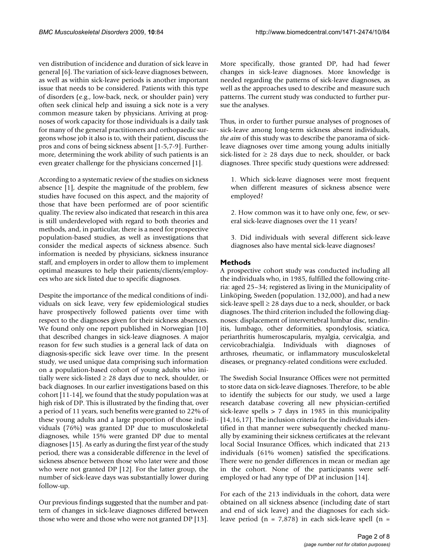ven distribution of incidence and duration of sick leave in general [6]. The variation of sick-leave diagnoses between, as well as within sick-leave periods is another important issue that needs to be considered. Patients with this type of disorders (e.g., low-back, neck, or shoulder pain) very often seek clinical help and issuing a sick note is a very common measure taken by physicians. Arriving at prognoses of work capacity for those individuals is a daily task for many of the general practitioners and orthopaedic surgeons whose job it also is to, with their patient, discuss the pros and cons of being sickness absent [1-5,7-9]. Furthermore, determining the work ability of such patients is an even greater challenge for the physicians concerned [1].

According to a systematic review of the studies on sickness absence [1], despite the magnitude of the problem, few studies have focused on this aspect, and the majority of those that have been performed are of poor scientific quality. The review also indicated that research in this area is still underdeveloped with regard to both theories and methods, and, in particular, there is a need for prospective population-based studies, as well as investigations that consider the medical aspects of sickness absence. Such information is needed by physicians, sickness insurance staff, and employers in order to allow them to implement optimal measures to help their patients/clients/employees who are sick listed due to specific diagnoses.

Despite the importance of the medical conditions of individuals on sick leave, very few epidemiological studies have prospectively followed patients over time with respect to the diagnoses given for their sickness absences. We found only one report published in Norwegian [10] that described changes in sick-leave diagnoses. A major reason for few such studies is a general lack of data on diagnosis-specific sick leave over time. In the present study, we used unique data comprising such information on a population-based cohort of young adults who initially were sick-listed ≥ 28 days due to neck, shoulder, or back diagnoses. In our earlier investigations based on this cohort [11-14], we found that the study population was at high risk of DP. This is illustrated by the finding that, over a period of 11 years, such benefits were granted to 22% of these young adults and a large proportion of those individuals (76%) was granted DP due to musculoskeletal diagnoses, while 15% were granted DP due to mental diagnoses [15]. As early as during the first year of the study period, there was a considerable difference in the level of sickness absence between those who later were and those who were not granted DP [12]. For the latter group, the number of sick-leave days was substantially lower during follow-up.

Our previous findings suggested that the number and pattern of changes in sick-leave diagnoses differed between those who were and those who were not granted DP [13]. More specifically, those granted DP, had had fewer changes in sick-leave diagnoses. More knowledge is needed regarding the patterns of sick-leave diagnoses, as well as the approaches used to describe and measure such patterns. The current study was conducted to further pursue the analyses.

Thus, in order to further pursue analyses of prognoses of sick-leave among long-term sickness absent individuals, *the aim* of this study was to describe the panorama of sickleave diagnoses over time among young adults initially sick-listed for  $\geq$  28 days due to neck, shoulder, or back diagnoses. Three specific study questions were addressed:

1. Which sick-leave diagnoses were most frequent when different measures of sickness absence were employed?

2. How common was it to have only one, few, or several sick-leave diagnoses over the 11 years?

3. Did individuals with several different sick-leave diagnoses also have mental sick-leave diagnoses?

# **Methods**

A prospective cohort study was conducted including all the individuals who, in 1985, fulfilled the following criteria: aged 25–34; registered as living in the Municipality of Linköping, Sweden (population. 132,000), and had a new sick-leave spell  $\geq 28$  days due to a neck, shoulder, or back diagnoses. The third criterion included the following diagnoses: displacement of intervertebral lumbar disc, tendinitis, lumbago, other deformities, spondylosis, sciatica, periarthritis humeroscapularis, myalgia, cervicalgia, and cervicobrachialgia. Individuals with diagnoses of arthroses, rheumatic, or inflammatory musculoskeletal diseases, or pregnancy-related conditions were excluded.

The Swedish Social Insurance Offices were not permitted to store data on sick-leave diagnoses. Therefore, to be able to identify the subjects for our study, we used a large research database covering all new physician-certified sick-leave spells > 7 days in 1985 in this municipality [14,16,17]. The inclusion criteria for the individuals identified in that manner were subsequently checked manually by examining their sickness certificates at the relevant local Social Insurance Offices, which indicated that 213 individuals (61% women) satisfied the specifications. There were no gender differences in mean or median age in the cohort. None of the participants were selfemployed or had any type of DP at inclusion [14].

For each of the 213 individuals in the cohort, data were obtained on all sickness absence (including date of start and end of sick leave) and the diagnoses for each sickleave period (n = 7,878) in each sick-leave spell (n =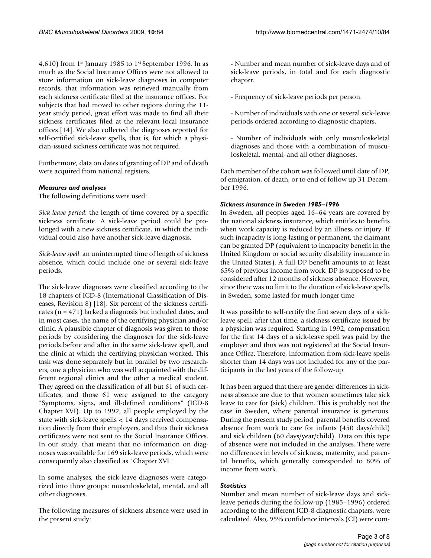4,610) from 1st January 1985 to 1st September 1996. In as much as the Social Insurance Offices were not allowed to store information on sick-leave diagnoses in computer records, that information was retrieved manually from each sickness certificate filed at the insurance offices. For subjects that had moved to other regions during the 11 year study period, great effort was made to find all their sickness certificates filed at the relevant local insurance offices [14]. We also collected the diagnoses reported for self-certified sick-leave spells, that is, for which a physician-issued sickness certificate was not required.

Furthermore, data on dates of granting of DP and of death were acquired from national registers.

### *Measures and analyses*

The following definitions were used:

*Sick-leave period*: the length of time covered by a specific sickness certificate. A sick-leave period could be prolonged with a new sickness certificate, in which the individual could also have another sick-leave diagnosis.

*Sick-leave spell*: an uninterrupted time of length of sickness absence, which could include one or several sick-leave periods.

The sick-leave diagnoses were classified according to the 18 chapters of ICD-8 (International Classification of Diseases, Revision 8) [18]. Six percent of the sickness certificates (n = 471) lacked a diagnosis but included dates, and in most cases, the name of the certifying physician and/or clinic. A plausible chapter of diagnosis was given to those periods by considering the diagnoses for the sick-leave periods before and after in the same sick-leave spell, and the clinic at which the certifying physician worked. This task was done separately but in parallel by two researchers, one a physician who was well acquainted with the different regional clinics and the other a medical student. They agreed on the classification of all but 61 of such certificates, and those 61 were assigned to the category "Symptoms, signs, and ill-defined conditions" (ICD-8 Chapter XVI). Up to 1992, all people employed by the state with sick-leave spells < 14 days received compensation directly from their employers, and thus their sickness certificates were not sent to the Social Insurance Offices. In our study, that meant that no information on diagnoses was available for 169 sick-leave periods, which were consequently also classified as "Chapter XVI."

In some analyses, the sick-leave diagnoses were categorized into three groups: musculoskeletal, mental, and all other diagnoses.

The following measures of sickness absence were used in the present study:

- Number and mean number of sick-leave days and of sick-leave periods, in total and for each diagnostic chapter.

- Frequency of sick-leave periods per person.
- Number of individuals with one or several sick-leave periods ordered according to diagnostic chapters.
- Number of individuals with only musculoskeletal diagnoses and those with a combination of musculoskeletal, mental, and all other diagnoses.

Each member of the cohort was followed until date of DP, of emigration, of death, or to end of follow up 31 December 1996.

# *Sickness insurance in Sweden 1985–1996*

In Sweden, all peoples aged 16–64 years are covered by the national sickness insurance, which entitles to benefits when work capacity is reduced by an illness or injury. If such incapacity is long-lasting or permanent, the claimant can be granted DP (equivalent to incapacity benefit in the United Kingdom or social security disability insurance in the United States). A full DP benefit amounts to at least 65% of previous income from work. DP is supposed to be considered after 12 months of sickness absence. However, since there was no limit to the duration of sick-leave spells in Sweden, some lasted for much longer time

It was possible to self-certify the first seven days of a sickleave spell; after that time, a sickness certificate issued by a physician was required. Starting in 1992, compensation for the first 14 days of a sick-leave spell was paid by the employer and thus was not registered at the Social Insurance Office. Therefore, information from sick-leave spells shorter than 14 days was not included for any of the participants in the last years of the follow-up.

It has been argued that there are gender differences in sickness absence are due to that women sometimes take sick leave to care for (sick) children. This is probably not the case in Sweden, where parental insurance is generous. During the present study period, parental benefits covered absence from work to care for infants (450 days/child) and sick children (60 days/year/child). Data on this type of absence were not included in the analyses. There were no differences in levels of sickness, maternity, and parental benefits, which generally corresponded to 80% of income from work.

# *Statistics*

Number and mean number of sick-leave days and sickleave periods during the follow-up (1985–1996) ordered according to the different ICD-8 diagnostic chapters, were calculated. Also, 95% confidence intervals (CI) were com-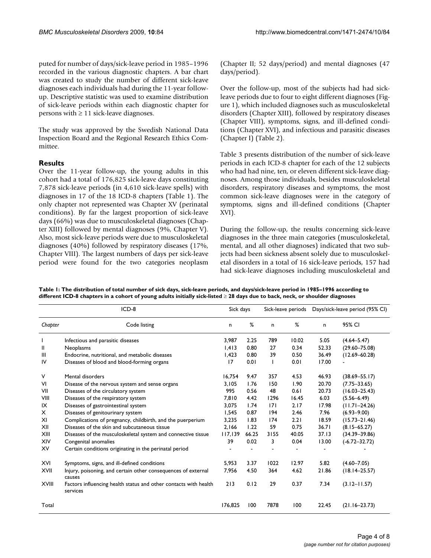puted for number of days/sick-leave period in 1985–1996 recorded in the various diagnostic chapters. A bar chart was created to study the number of different sick-leave diagnoses each individuals had during the 11-year followup. Descriptive statistic was used to examine distribution of sick-leave periods within each diagnostic chapter for persons with  $\geq 11$  sick-leave diagnoses.

The study was approved by the Swedish National Data Inspection Board and the Regional Research Ethics Committee.

# **Results**

Over the 11-year follow-up, the young adults in this cohort had a total of 176,825 sick-leave days constituting 7,878 sick-leave periods (in 4,610 sick-leave spells) with diagnoses in 17 of the 18 ICD-8 chapters (Table 1). The only chapter not represented was Chapter XV (perinatal conditions). By far the largest proportion of sick-leave days (66%) was due to musculoskeletal diagnoses (Chapter XIII) followed by mental diagnoses (9%, Chapter V). Also, most sick-leave periods were due to musculoskeletal diagnoses (40%) followed by respiratory diseases (17%, Chapter VIII). The largest numbers of days per sick-leave period were found for the two categories neoplasm

(Chapter II; 52 days/period) and mental diagnoses (47 days/period).

Over the follow-up, most of the subjects had had sickleave periods due to four to eight different diagnoses (Figure 1), which included diagnoses such as musculoskeletal disorders (Chapter XIII), followed by respiratory diseases (Chapter VIII), symptoms, signs, and ill-defined conditions (Chapter XVI), and infectious and parasitic diseases (Chapter I) (Table 2).

Table 3 presents distribution of the number of sick-leave periods in each ICD-8 chapter for each of the 12 subjects who had had nine, ten, or eleven different sick-leave diagnoses. Among those individuals, besides musculoskeletal disorders, respiratory diseases and symptoms, the most common sick-leave diagnoses were in the category of symptoms, signs and ill-defined conditions (Chapter XVI).

During the follow-up, the results concerning sick-leave diagnoses in the three main categories (musculoskeletal, mental, and all other diagnoses) indicated that two subjects had been sickness absent solely due to musculoskeletal disorders in a total of 16 sick-leave periods, 157 had had sick-leave diagnoses including musculoskeletal and

| Table 1: The distribution of total number of sick days, sick-leave periods, and days/sick-leave period in 1985–1996 according to |
|----------------------------------------------------------------------------------------------------------------------------------|
| different ICD-8 chapters in a cohort of young adults initially sick-listed ≥ 28 days due to back, neck, or shoulder diagnoses    |

|              | ICD-8                                                                        | Sick days |       |          | Sick-leave periods | Days/sick-leave period (95% CI) |                   |  |  |
|--------------|------------------------------------------------------------------------------|-----------|-------|----------|--------------------|---------------------------------|-------------------|--|--|
| Chapter      | Code listing                                                                 | n.        | %     | n        | %                  | n                               | 95% CI            |  |  |
| I            | Infectious and parasitic diseases                                            | 3,987     | 2.25  | 789      | 10.02              | 5.05                            | $(4.64 - 5.47)$   |  |  |
| Ш            | Neoplasms                                                                    | 1,413     | 0.80  | 27       | 0.34               | 52.33                           | $(29.60 - 75.08)$ |  |  |
| Ш            | Endocrine, nutritional, and metabolic diseases                               | 1.423     | 0.80  | 39       | 0.50               | 36.49                           | $(12.69 - 60.28)$ |  |  |
| IV           | Diseases of blood and blood-forming organs                                   | 17        | 0.01  | <b>I</b> | 0.01               | 17.00                           |                   |  |  |
| V            | Mental disorders                                                             | 16,754    | 9.47  | 357      | 4.53               | 46.93                           | $(38.69 - 55.17)$ |  |  |
| VI           | Disease of the nervous system and sense organs                               | 3,105     | 1.76  | 150      | 1.90               | 20.70                           | $(7.75 - 33.65)$  |  |  |
| VII          | Diseases of the circulatory system                                           | 995       | 0.56  | 48       | 0.61               | 20.73                           | $(16.03 - 25.43)$ |  |  |
| VIII         | Diseases of the respiratory system                                           | 7,810     | 4.42  | 1296     | 16.45              | 6.03                            | $(5.56 - 6.49)$   |  |  |
| IX           | Diseases of gastrointestinal system                                          | 3,075     | 1.74  | 171      | 2.17               | 17.98                           | $(11.71 - 24.26)$ |  |  |
| $\times$     | Diseases of genitourinary system                                             | 1,545     | 0.87  | 194      | 2.46               | 7.96                            | $(6.93 - 9.00)$   |  |  |
| XI           | Complications of pregnancy, childbirth, and the puerperium                   | 3,235     | 1.83  | 174      | 2.21               | 18.59                           | $(15.73 - 21.46)$ |  |  |
| XII          | Diseases of the skin and subcutaneous tissue                                 | 2,166     | 1.22  | 59       | 0.75               | 36.71                           | $(8.15 - 65.27)$  |  |  |
| XIII         | Diseases of the musculoskeletal system and connective tissue                 | 117,139   | 66.25 | 3155     | 40.05              | 37.13                           | $(34.39 - 39.86)$ |  |  |
| XIV          | Congenital anomalies                                                         | 39        | 0.02  | 3        | 0.04               | 13.00                           | $(-6.72 - 32.72)$ |  |  |
| XV           | Certain conditions originating in the perinatal period                       |           |       |          |                    |                                 |                   |  |  |
| <b>XVI</b>   | Symptoms, signs, and ill-defined conditions                                  | 5.953     | 3.37  | 1022     | 12.97              | 5.82                            | $(4.60 - 7.05)$   |  |  |
| <b>XVII</b>  | Injury, poisoning, and certain other consequences of external<br>causes      | 7,956     | 4.50  | 364      | 4.62               | 21.86                           | $(18.14 - 25.57)$ |  |  |
| <b>XVIII</b> | Factors influencing health status and other contacts with health<br>services | 213       | 0.12  | 29       | 0.37               | 7.34                            | $(3.12 - 11.57)$  |  |  |
| Total        |                                                                              | 176,825   | 100   | 7878     | 100                | 22.45                           | $(21.16 - 23.73)$ |  |  |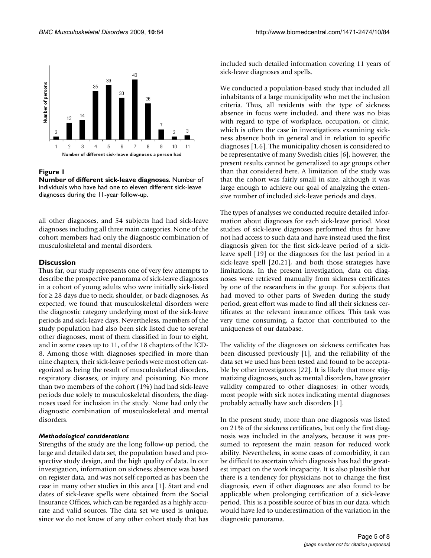

#### **Figure 1**

**Number of different sick-leave diagnoses**. Number of individuals who have had one to eleven different sick-leave diagnoses during the 11-year follow-up.

all other diagnoses, and 54 subjects had had sick-leave diagnoses including all three main categories. None of the cohort members had only the diagnostic combination of musculoskeletal and mental disorders.

# **Discussion**

Thus far, our study represents one of very few attempts to describe the prospective panorama of sick-leave diagnoses in a cohort of young adults who were initially sick-listed for ≥ 28 days due to neck, shoulder, or back diagnoses. As expected, we found that musculoskeletal disorders were the diagnostic category underlying most of the sick-leave periods and sick-leave days. Nevertheless, members of the study population had also been sick listed due to several other diagnoses, most of them classified in four to eight, and in some cases up to 11, of the 18 chapters of the ICD-8. Among those with diagnoses specified in more than nine chapters, their sick-leave periods were most often categorized as being the result of musculoskeletal disorders, respiratory diseases, or injury and poisoning. No more than two members of the cohort (1%) had had sick-leave periods due solely to musculoskeletal disorders, the diagnoses used for inclusion in the study. None had only the diagnostic combination of musculoskeletal and mental disorders.

### *Methodological considerations*

Strengths of the study are the long follow-up period, the large and detailed data set, the population based and prospective study design, and the high quality of data. In our investigation, information on sickness absence was based on register data, and was not self-reported as has been the case in many other studies in this area [1]. Start and end dates of sick-leave spells were obtained from the Social Insurance Offices, which can be regarded as a highly accurate and valid sources. The data set we used is unique, since we do not know of any other cohort study that has included such detailed information covering 11 years of sick-leave diagnoses and spells.

We conducted a population-based study that included all inhabitants of a large municipality who met the inclusion criteria. Thus, all residents with the type of sickness absence in focus were included, and there was no bias with regard to type of workplace, occupation, or clinic, which is often the case in investigations examining sickness absence both in general and in relation to specific diagnoses [1,6]. The municipality chosen is considered to be representative of many Swedish cities [6], however, the present results cannot be generalized to age groups other than that considered here. A limitation of the study was that the cohort was fairly small in size, although it was large enough to achieve our goal of analyzing the extensive number of included sick-leave periods and days.

The types of analyses we conducted require detailed information about diagnoses for each sick-leave period. Most studies of sick-leave diagnoses performed thus far have not had access to such data and have instead used the first diagnosis given for the first sick-leave period of a sickleave spell [19] or the diagnoses for the last period in a sick-leave spell [20,21], and both those strategies have limitations. In the present investigation, data on diagnoses were retrieved manually from sickness certificates by one of the researchers in the group. For subjects that had moved to other parts of Sweden during the study period, great effort was made to find all their sickness certificates at the relevant insurance offices. This task was very time consuming, a factor that contributed to the uniqueness of our database.

The validity of the diagnoses on sickness certificates has been discussed previously [1], and the reliability of the data set we used has been tested and found to be acceptable by other investigators [22]. It is likely that more stigmatizing diagnoses, such as mental disorders, have greater validity compared to other diagnoses; in other words, most people with sick notes indicating mental diagnoses probably actually have such disorders [1].

In the present study, more than one diagnosis was listed on 21% of the sickness certificates, but only the first diagnosis was included in the analyses, because it was presumed to represent the main reason for reduced work ability. Nevertheless, in some cases of comorbidity, it can be difficult to ascertain which diagnosis has had the greatest impact on the work incapacity. It is also plausible that there is a tendency for physicians not to change the first diagnosis, even if other diagnoses are also found to be applicable when prolonging certification of a sick-leave period. This is a possible source of bias in our data, which would have led to underestimation of the variation in the diagnostic panorama.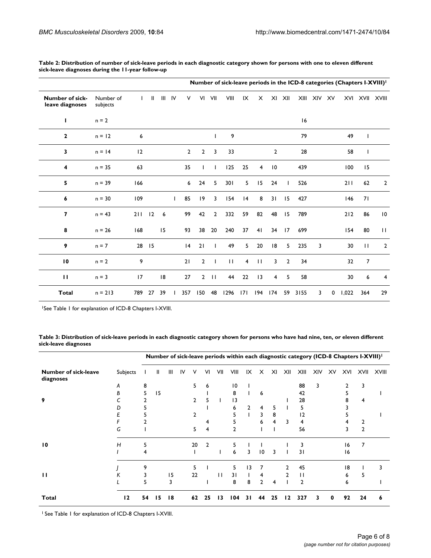|                                           |                       | Number of sick-leave periods in the ICD-8 categories (Chapters I-XVIII) <sup>1</sup> |               |        |    |                |                |                |              |                |                |                |                |      |             |   |       |                |                 |
|-------------------------------------------|-----------------------|--------------------------------------------------------------------------------------|---------------|--------|----|----------------|----------------|----------------|--------------|----------------|----------------|----------------|----------------|------|-------------|---|-------|----------------|-----------------|
| <b>Number of sick-</b><br>leave diagnoses | Number of<br>subjects | Ι.                                                                                   | $\mathbf{II}$ | III IV |    | V              |                | VI VII         | VIII         | IX             | $\times$       |                | XI XII         |      | XIII XIV XV |   |       |                | XVI XVII XVIII  |
| т                                         | $n = 2$               |                                                                                      |               |        |    |                |                |                |              |                |                |                |                | 16   |             |   |       |                |                 |
| $\mathbf{z}$                              | $n = 12$              | 6                                                                                    |               |        |    |                |                |                | 9            |                |                |                |                | 79   |             |   | 49    |                |                 |
| 3                                         | $n = 14$              | 12                                                                                   |               |        |    | $\overline{2}$ | $\overline{2}$ | 3              | 33           |                |                | $\overline{2}$ |                | 28   |             |   | 58    | I.             |                 |
| 4                                         | $n = 35$              | 63                                                                                   |               |        |    | 35             | $\mathbf{I}$   | T              | 125          | 25             | $\overline{4}$ | 10             |                | 439  |             |   | 100   | 15             |                 |
| 5                                         | $n = 39$              | 166                                                                                  |               |        |    | 6              | 24             | 5              | 301          | 5              | 15             | 24             |                | 526  |             |   | 211   | 62             | $\overline{2}$  |
| 6                                         | $n = 30$              | 109                                                                                  |               |        | Ι. | 85             | 9              | 3              | 154          | 4              | 8              | 31             | 15             | 427  |             |   | 146   | 71             |                 |
| 7                                         | $n = 43$              | 211                                                                                  | 2             | 6      |    | 99             | 42             | $\overline{2}$ | 332          | 59             | 82             | 48             | 15             | 789  |             |   | 212   | 86             | $\overline{10}$ |
| 8                                         | $n = 26$              | 168                                                                                  |               | 15     |    | 93             | 38             | 20             | 240          | 37             | 41             | 34             | 17             | 699  |             |   | 154   | 80             | $\mathbf{H}$    |
| 9                                         | $n = 7$               | 28 15                                                                                |               |        |    | 4              | 21             | $\mathbf{I}$   | 49           | 5              | 20             | 8              | 5              | 235  | 3           |   | 30    | $\mathbf{H}$   | $\overline{2}$  |
| $\overline{10}$                           | $n = 2$               | 9                                                                                    |               |        |    | 21             | $\overline{2}$ | T              | $\mathbf{H}$ | $\overline{4}$ | $\mathbf{H}$   | 3              | $\overline{2}$ | 34   |             |   | 32    | $\overline{7}$ |                 |
| п                                         | $n = 3$               | 17                                                                                   |               | 8      |    | 27             | $\overline{2}$ | $\Box$         | 44           | 22             | 3              | $\overline{4}$ | 5              | 58   |             |   | 30    | 6              | 4               |
| <b>Total</b>                              | $n = 213$             | 789                                                                                  | 27            | 39     | Ι. | 357            | 150            | 48             | 1296         | 7              |                | 194 174        | 59             | 3155 | 3           | 0 | 1,022 | 364            | 29              |

**Table 2: Distribution of number of sick-leave periods in each diagnostic category shown for persons with one to eleven different sick-leave diagnoses during the 11-year follow-up**

1See Table 1 for explanation of ICD-8 Chapters I-XVIII.

**Table 3: Distribution of sick-leave periods in each diagnostic category shown for persons who have had nine, ten, or eleven different sick-leave diagnoses**

|                                          |          | Number of sick-leave periods within each diagnostic category (ICD-8 Chapters I-XVIII) <sup>1</sup> |     |    |    |              |                |                 |                 |                 |                |    |                |                |     |    |     |                |       |
|------------------------------------------|----------|----------------------------------------------------------------------------------------------------|-----|----|----|--------------|----------------|-----------------|-----------------|-----------------|----------------|----|----------------|----------------|-----|----|-----|----------------|-------|
| <b>Number of sick-leave</b><br>diagnoses | Subjects |                                                                                                    | Ш   | Ш  | IV | v            | VI             | VII             | VIII            | IX              | X              | XI | XII            | XIII           | XIV | XV | XVI | <b>XVII</b>    | XVIII |
|                                          | Α        | 8                                                                                                  |     |    |    | 5            | 6              |                 | $\overline{10}$ |                 |                |    |                | 88             | 3   |    |     | 3              |       |
|                                          | В        | 5.                                                                                                 | 15  |    |    |              |                |                 | 8               |                 | 6              |    |                | 42             |     |    |     |                |       |
| 9                                        |          | 2                                                                                                  |     |    |    | $\mathbf{2}$ | 5              |                 | 13              |                 |                |    |                | 28             |     |    | 8   | 4              |       |
|                                          | D        |                                                                                                    |     |    |    |              |                |                 | 6               | $\mathbf{2}$    | 4              | 5. |                | 5.             |     |    |     |                |       |
|                                          | Ε        |                                                                                                    |     |    |    | 2            |                |                 | 5               |                 | 3              | 8  |                | 12             |     |    | 5   |                |       |
|                                          |          |                                                                                                    |     |    |    |              | 4              |                 | 5               |                 | 6              | 4  | 3              | 4              |     |    | 4   | $\overline{2}$ |       |
|                                          | G        |                                                                                                    |     |    |    | 5            | 4              |                 | 2               |                 |                |    |                | 56             |     |    |     | $\overline{2}$ |       |
| $\overline{10}$                          | H        | 5                                                                                                  |     |    |    | 20           | $\overline{2}$ |                 | 5               |                 |                |    |                | 3              |     |    | 16  | 7              |       |
|                                          |          | 4                                                                                                  |     |    |    |              |                | ı               | 6               | 3               | 10             | 3  |                | 31             |     |    | 16  |                |       |
|                                          |          | 9                                                                                                  |     |    |    | 5            |                |                 | 5.              | $\overline{13}$ | 7              |    | $\overline{2}$ | 45             |     |    | 18  |                | 3     |
| $\mathbf{H}$                             | Κ        | 3                                                                                                  |     | 15 |    | 22           |                | Ħ               | 31              | I.              | 4              |    | $\overline{2}$ | П              |     |    | 6   | 5              |       |
|                                          |          | 5                                                                                                  |     | 3  |    |              |                |                 | 8               | 8               | $\overline{2}$ | 4  |                | $\overline{2}$ |     |    | 6   |                |       |
| Total                                    | 12       | 54                                                                                                 | -15 | 18 |    | 62           | 25             | $\overline{13}$ | 104             | 31              | 44             | 25 | 12             | 327            | 3   | 0  | 92  | 24             | 6     |

1 See Table 1 for explanation of ICD-8 Chapters I-XVIII.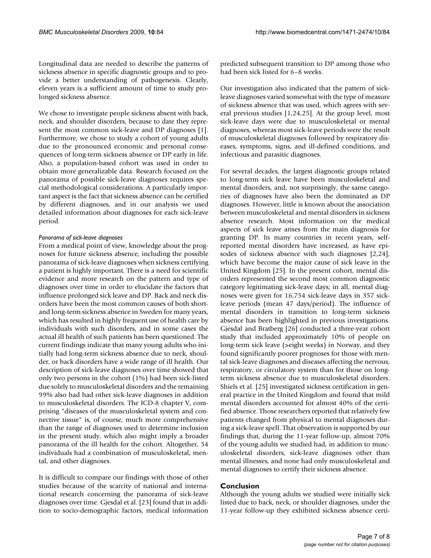Longitudinal data are needed to describe the patterns of sickness absence in specific diagnostic groups and to provide a better understanding of pathogenesis. Clearly, eleven years is a sufficient amount of time to study prolonged sickness absence.

We chose to investigate people sickness absent with back, neck, and shoulder disorders, because to date they represent the most common sick-leave and DP diagnoses [1]. Furthermore, we chose to study a cohort of young adults due to the pronounced economic and personal consequences of long-term sickness absence or DP early in life. Also, a population-based cohort was used in order to obtain more generalizable data. Research focused on the panorama of possible sick-leave diagnoses requires special methodological considerations. A particularly important aspect is the fact that sickness absence can be certified by different diagnoses, and in our analysis we used detailed information about diagnoses for each sick-leave period.

# *Panorama of sick-leave diagnoses*

From a medical point of view, knowledge about the prognoses for future sickness absence, including the possible panorama of sick-leave diagnoses when sickness certifying a patient is highly important. There is a need for scientific evidence and more research on the pattern and type of diagnoses over time in order to elucidate the factors that influence prolonged sick leave and DP. Back and neck disorders have been the most common causes of both shortand long-term sickness absence in Sweden for many years, which has resulted in highly frequent use of health care by individuals with such disorders, and in some cases the actual ill health of such patients has been questioned. The current findings indicate that many young adults who initially had long-term sickness absence due to neck, shoulder, or back disorders have a wide range of ill health. Our description of sick-leave diagnoses over time showed that only two persons in the cohort (1%) had been sick-listed due solely to musculoskeletal disorders and the remaining 99% also had had other sick-leave diagnoses in addition to musculoskeletal disorders. The ICD-8 chapter V, comprising "diseases of the musculoskeletal system and connective tissue" is, of course, much more comprehensive than the range of diagnoses used to determine inclusion in the present study, which also might imply a broader panorama of the ill health for the cohort. Altogether, 54 individuals had a combination of musculoskeletal, mental, and other diagnoses.

It is difficult to compare our findings with those of other studies because of the scarcity of national and international research concerning the panorama of sick-leave diagnoses over time. Gjesdal et al. [23] found that in addition to socio-demographic factors, medical information

predicted subsequent transition to DP among those who had been sick listed for 6–8 weeks.

Our investigation also indicated that the pattern of sickleave diagnoses varied somewhat with the type of measure of sickness absence that was used, which agrees with several previous studies [1,24,25]. At the group level, most sick-leave days were due to musculoskeletal or mental diagnoses, whereas most sick-leave periods were the result of musculoskeletal diagnoses followed by respiratory diseases, symptoms, signs, and ill-defined conditions, and infectious and parasitic diagnoses.

For several decades, the largest diagnostic groups related to long-term sick leave have been musculoskeletal and mental disorders, and, not surprisingly, the same categories of diagnoses have also been the dominated as DP diagnoses. However, little is known about the association between musculoskeletal and mental disorders in sickness absence research. Most information on the medical aspects of sick leave arises from the main diagnosis for granting DP. In many countries in recent years, selfreported mental disorders have increased, as have episodes of sickness absence with such diagnoses [2,24], which have become the major cause of sick leave in the United Kingdom [25]. In the present cohort, mental disorders represented the second most common diagnostic category legitimating sick-leave days; in all, mental diagnoses were given for 16,754 sick-leave days in 357 sickleave periods (mean 47 days/period). The influence of mental disorders in transition to long-term sickness absence has been highlighted in previous investigations. Gjesdal and Bratberg [26] conducted a three-year cohort study that included approximately 10% of people on long-term sick leave (>eight weeks) in Norway, and they found significantly poorer prognoses for those with mental sick-leave diagnoses and diseases affecting the nervous, respiratory, or circulatory system than for those on longterm sickness absence due to musculoskeletal disorders. Shiels et al. [25] investigated sickness certification in general practice in the United Kingdom and found that mild mental disorders accounted for almost 40% of the certified absence. Those researchers reported that relatively few patients changed from physical to mental diagnoses during a sick-leave spell. That observation is supported by our findings that, during the 11-year follow-up, almost 70% of the young adults we studied had, in addition to musculoskeletal disorders, sick-leave diagnoses other than mental illnesses, and none had only musculoskeletal and mental diagnoses to certify their sickness absence.

# **Conclusion**

Although the young adults we studied were initially sick listed due to back, neck, or shoulder diagnoses, under the 11-year follow-up they exhibited sickness absence certi-